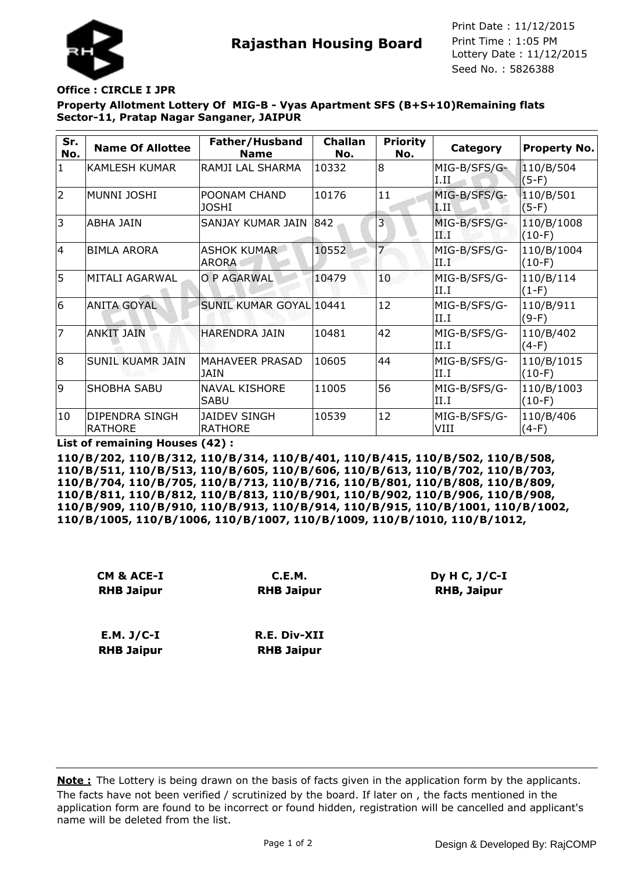

**Rajasthan Housing Board** Print Time : 1:05 PM<br>Lottery Date : 11/12/2015 Seed No. : 5826388 Print Date : 11/12/2015 Print Time : 1:05 PM

## **Office : CIRCLE I JPR**

**Property Allotment Lottery Of MIG-B - Vyas Apartment SFS (B+S+10)Remaining flats Sector-11, Pratap Nagar Sanganer, JAIPUR**

| Sr.<br>No.     | <b>Name Of Allottee</b>          | Father/Husband<br><b>Name</b>         | <b>Challan</b><br>No. | <b>Priority</b><br>No. | Category                                  | <b>Property No.</b>    |
|----------------|----------------------------------|---------------------------------------|-----------------------|------------------------|-------------------------------------------|------------------------|
| $\mathbf{1}$   | IKAMLESH KUMAR                   | RAMJI LAL SHARMA                      | 10332                 | 8                      | MIG-B/SFS/G-<br>I.IL                      | 110/B/504<br>$(5-F)$   |
| $\overline{2}$ | MUNNI JOSHI                      | POONAM CHAND<br><b>JOSHI</b>          | 10176                 | 11                     | MIG-B/SFS/G-<br>$\mathbf{L}$ $\mathbf{H}$ | 110/B/501<br>$(5-F)$   |
| 3              | ABHA JAIN                        | SANJAY KUMAR JAIN                     | 842                   | $\overline{3}$         | MIG-B/SFS/G-<br>ТØ                        | 110/B/1008<br>$(10-F)$ |
| 4              | <b>BIMLA ARORA</b>               | <b>ASHOK KUMAR</b><br><b>ARORA</b>    | 10552                 |                        | MIG-B/SFS/G-<br>de Ro                     | 110/B/1004<br>$(10-F)$ |
| 5              | MITALI AGARWAL                   | O P AGARWAL                           | 10479                 | 10.                    | MIG-B/SFS/G-<br>II.I                      | 110/B/114<br>$(1-F)$   |
| 6              | <b>ANITA GOYAL</b>               | SUNIL KUMAR GOYAL 10441               |                       | 12                     | MIG-B/SFS/G-<br>II.I                      | 110/B/911<br>$(9-F)$   |
| $\overline{7}$ | ANKIT JAIN                       | <b>HARENDRA JAIN</b>                  | 10481                 | 42                     | MIG-B/SFS/G-<br>II.I                      | 110/B/402<br>$(4-F)$   |
| 8              | <b>SUNIL KUAMR JAIN</b>          | MAHAVEER PRASAD<br><b>JAIN</b>        | 10605                 | 44                     | MIG-B/SFS/G-<br>II.I                      | 110/B/1015<br>$(10-F)$ |
| 9              | <b>SHOBHA SABU</b>               | <b>NAVAL KISHORE</b><br><b>SABU</b>   | 11005                 | 56                     | MIG-B/SFS/G-<br>II.I                      | 110/B/1003<br>$(10-F)$ |
| 10             | DIPENDRA SINGH<br><b>RATHORE</b> | <b>JAIDEV SINGH</b><br><b>RATHORE</b> | 10539                 | 12                     | MIG-B/SFS/G-<br>VIII                      | 110/B/406<br>$(4-F)$   |

**List of remaining Houses (42) :**

**110/B/202, 110/B/312, 110/B/314, 110/B/401, 110/B/415, 110/B/502, 110/B/508, 110/B/511, 110/B/513, 110/B/605, 110/B/606, 110/B/613, 110/B/702, 110/B/703, 110/B/704, 110/B/705, 110/B/713, 110/B/716, 110/B/801, 110/B/808, 110/B/809, 110/B/811, 110/B/812, 110/B/813, 110/B/901, 110/B/902, 110/B/906, 110/B/908, 110/B/909, 110/B/910, 110/B/913, 110/B/914, 110/B/915, 110/B/1001, 110/B/1002, 110/B/1005, 110/B/1006, 110/B/1007, 110/B/1009, 110/B/1010, 110/B/1012,**

| CM & ACE-I        | C.E.M.              |
|-------------------|---------------------|
| <b>RHB Jaipur</b> | <b>RHB Jaipur</b>   |
| $E.M. J/C-I$      | <b>R.E. Div-XII</b> |
| <b>RHB Jaipur</b> | <b>RHB Jaipur</b>   |

The facts have not been verified / scrutinized by the board. If later on , the facts mentioned in the application form are found to be incorrect or found hidden, registration will be cancelled and applicant's name will be deleted from the list. **Note :** The Lottery is being drawn on the basis of facts given in the application form by the applicants.

**Dy H C, J/C-I RHB, Jaipur**